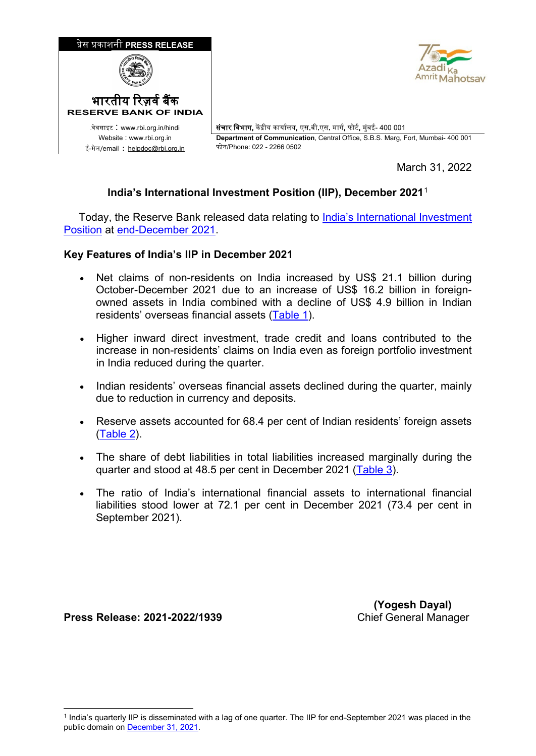

March 31, 2022

## **India's International Investment Position (IIP), December 2021**[1](#page-0-0)

 Today, the Reserve Bank released data relating to [India's International Investment](https://www.rbi.org.in/scripts/IIPDetails.aspx?Id=133)  [Position](https://www.rbi.org.in/scripts/IIPDetails.aspx?Id=133) at [end-December 2021.](https://rbidocs.rbi.org.in/rdocs/content/docs/IIPBPM631032022.xlsx)

## **Key Features of India's IIP in December 2021**

- Net claims of non-residents on India increased by US\$ 21.1 billion during October-December 2021 due to an increase of US\$ 16.2 billion in foreignowned assets in India combined with a decline of US\$ 4.9 billion in Indian residents' overseas financial assets [\(Table 1\)](#page-1-0).
- Higher inward direct investment, trade credit and loans contributed to the increase in non-residents' claims on India even as foreign portfolio investment in India reduced during the quarter.
- Indian residents' overseas financial assets declined during the quarter, mainly due to reduction in currency and deposits.
- Reserve assets accounted for 68.4 per cent of Indian residents' foreign assets [\(Table 2\)](#page-1-1).
- The share of debt liabilities in total liabilities increased marginally during the quarter and stood at 48.5 per cent in December 2021 [\(Table 3\)](#page-2-0).
- The ratio of India's international financial assets to international financial liabilities stood lower at 72.1 per cent in December 2021 (73.4 per cent in September 2021).

**Press Release: 2021-2022/1939** 

**(Yogesh Dayal)**<br>Chief General Manager

<span id="page-0-0"></span><sup>-</sup><sup>1</sup> India's quarterly IIP is disseminated with a lag of one quarter. The IIP for end-September 2021 was placed in the public domain on [December 31, 2021.](https://www.rbi.org.in/scripts/BS_PressReleaseDisplay.aspx?prid=53018)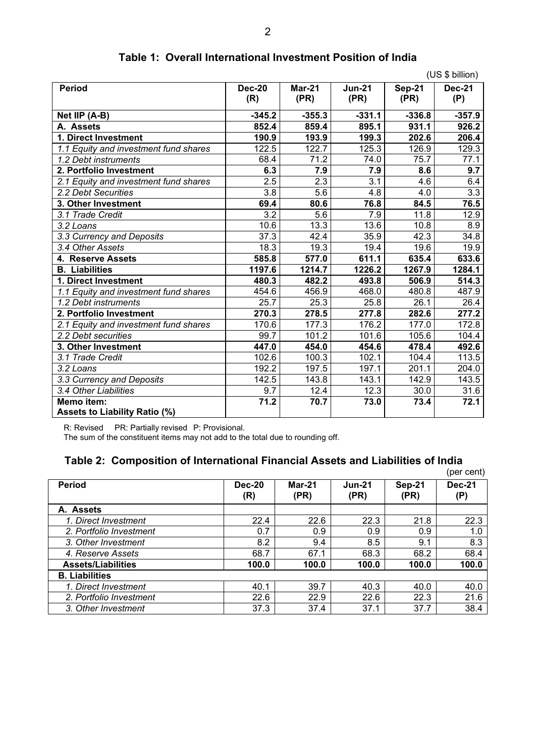<span id="page-1-0"></span>

|                                       |                      |                       |                       |                | (US \$ billion)      |  |  |
|---------------------------------------|----------------------|-----------------------|-----------------------|----------------|----------------------|--|--|
| <b>Period</b>                         | <b>Dec-20</b><br>(R) | <b>Mar-21</b><br>(PR) | <b>Jun-21</b><br>(PR) | Sep-21<br>(PR) | <b>Dec-21</b><br>(P) |  |  |
| Net IIP (A-B)                         | $-345.2$             | $-355.3$              | $-331.1$              | $-336.8$       | $-357.9$             |  |  |
| A. Assets                             | 852.4                | 859.4                 | 895.1                 | 931.1          | 926.2                |  |  |
| 1. Direct Investment                  | 190.9                | 193.9                 | 199.3                 | 202.6          | 206.4                |  |  |
| 1.1 Equity and investment fund shares | 122.5                | 122.7                 | 125.3                 | 126.9          | 129.3                |  |  |
| 1.2 Debt instruments                  | 68.4                 | 71.2                  | 74.0                  | 75.7           | 77.1                 |  |  |
| 2. Portfolio Investment               | 6.3                  | 7.9                   | 7.9                   | 8.6            | 9.7                  |  |  |
| 2.1 Equity and investment fund shares | 2.5                  | 2.3                   | 3.1                   | 4.6            | 6.4                  |  |  |
| 2.2 Debt Securities                   | $\overline{3.8}$     | 5.6                   | 4.8                   | 4.0            | $\overline{3.3}$     |  |  |
| 3. Other Investment                   | 69.4                 | 80.6                  | 76.8                  | 84.5           | 76.5                 |  |  |
| 3.1 Trade Credit                      | $\overline{3.2}$     | 5.6                   | 7.9                   | 11.8           | 12.9                 |  |  |
| 3.2 Loans                             | 10.6                 | 13.3                  | 13.6                  | 10.8           | 8.9                  |  |  |
| 3.3 Currency and Deposits             | 37.3                 | 42.4                  | 35.9                  | 42.3           | 34.8                 |  |  |
| 3.4 Other Assets                      | 18.3                 | 19.3                  | 19.4                  | 19.6           | 19.9                 |  |  |
| 4. Reserve Assets                     | 585.8                | 577.0                 | 611.1                 | 635.4          | 633.6                |  |  |
| <b>B.</b> Liabilities                 | 1197.6               | 1214.7                | 1226.2                | 1267.9         | 1284.1               |  |  |
| 1. Direct Investment                  | 480.3                | 482.2                 | 493.8                 | 506.9          | 514.3                |  |  |
| 1.1 Equity and investment fund shares | 454.6                | 456.9                 | 468.0                 | 480.8          | 487.9                |  |  |
| 1.2 Debt instruments                  | 25.7                 | 25.3                  | 25.8                  | 26.1           | 26.4                 |  |  |
| 2. Portfolio Investment               | 270.3                | 278.5                 | 277.8                 | 282.6          | 277.2                |  |  |
| 2.1 Equity and investment fund shares | 170.6                | 177.3                 | 176.2                 | 177.0          | 172.8                |  |  |
| 2.2 Debt securities                   | 99.7                 | 101.2                 | 101.6                 | 105.6          | 104.4                |  |  |
| 3. Other Investment                   | 447.0                | 454.0                 | 454.6                 | 478.4          | 492.6                |  |  |
| 3.1 Trade Credit                      | 102.6                | 100.3                 | 102.1                 | 104.4          | 113.5                |  |  |
| 3.2 Loans                             | 192.2                | 197.5                 | 197.1                 | 201.1          | 204.0                |  |  |
| 3.3 Currency and Deposits             | 142.5                | 143.8                 | 143.1                 | 142.9          | 143.5                |  |  |
| 3.4 Other Liabilities                 | 9.7                  | 12.4                  | 12.3                  | 30.0           | 31.6                 |  |  |
| Memo item:                            | 71.2                 | 70.7                  | 73.0                  | 73.4           | 72.1                 |  |  |
| <b>Assets to Liability Ratio (%)</b>  |                      |                       |                       |                |                      |  |  |
|                                       |                      |                       |                       |                |                      |  |  |

## **Table 1: Overall International Investment Position of India**

R: Revised PR: Partially revised P: Provisional.

The sum of the constituent items may not add to the total due to rounding off.

## <span id="page-1-1"></span>**Table 2: Composition of International Financial Assets and Liabilities of India**

|                           | Table 2:  Composition of International Financial Assets and Liabilities of India<br>(per cent) |                  |                       |                |                      |
|---------------------------|------------------------------------------------------------------------------------------------|------------------|-----------------------|----------------|----------------------|
| <b>Period</b>             | <b>Dec-20</b><br>(R)                                                                           | $Mar-21$<br>(PR) | <b>Jun-21</b><br>(PR) | Sep-21<br>(PR) | <b>Dec-21</b><br>(P) |
| A. Assets                 |                                                                                                |                  |                       |                |                      |
| 1. Direct Investment      | 22.4                                                                                           | 22.6             | 22.3                  | 21.8           | 22.3                 |
| 2. Portfolio Investment   | 0.7                                                                                            | 0.9              | 0.9                   | 0.9            | 1.0                  |
| 3. Other Investment       | 8.2                                                                                            | 9.4              | 8.5                   | 9.1            | 8.3                  |
| 4. Reserve Assets         | 68.7                                                                                           | 67.1             | 68.3                  | 68.2           | 68.4                 |
| <b>Assets/Liabilities</b> | 100.0                                                                                          | 100.0            | 100.0                 | 100.0          | 100.0                |
| <b>B.</b> Liabilities     |                                                                                                |                  |                       |                |                      |
| 1. Direct Investment      | 40.1                                                                                           | 39.7             | 40.3                  | 40.0           | 40.0                 |
| 2. Portfolio Investment   | 22.6                                                                                           | 22.9             | 22.6                  | 22.3           | 21.6                 |
| 3. Other Investment       | 37.3                                                                                           | 37.4             | 37.1                  | 37.7           | 38.4                 |